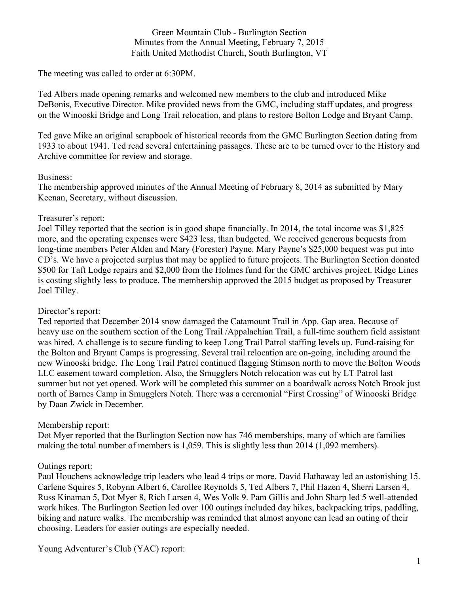Green Mountain Club - Burlington Section Minutes from the Annual Meeting, February 7, 2015 Faith United Methodist Church, South Burlington, VT

The meeting was called to order at 6:30PM.

Ted Albers made opening remarks and welcomed new members to the club and introduced Mike DeBonis, Executive Director. Mike provided news from the GMC, including staff updates, and progress on the Winooski Bridge and Long Trail relocation, and plans to restore Bolton Lodge and Bryant Camp.

Ted gave Mike an original scrapbook of historical records from the GMC Burlington Section dating from 1933 to about 1941. Ted read several entertaining passages. These are to be turned over to the History and Archive committee for review and storage.

## Business:

The membership approved minutes of the Annual Meeting of February 8, 2014 as submitted by Mary Keenan, Secretary, without discussion.

## Treasurer's report:

Joel Tilley reported that the section is in good shape financially. In 2014, the total income was \$1,825 more, and the operating expenses were \$423 less, than budgeted. We received generous bequests from long-time members Peter Alden and Mary (Forester) Payne. Mary Payne's \$25,000 bequest was put into CD's. We have a projected surplus that may be applied to future projects. The Burlington Section donated \$500 for Taft Lodge repairs and \$2,000 from the Holmes fund for the GMC archives project. Ridge Lines is costing slightly less to produce. The membership approved the 2015 budget as proposed by Treasurer Joel Tilley.

# Director's report:

Ted reported that December 2014 snow damaged the Catamount Trail in App. Gap area. Because of heavy use on the southern section of the Long Trail /Appalachian Trail, a full-time southern field assistant was hired. A challenge is to secure funding to keep Long Trail Patrol staffing levels up. Fund-raising for the Bolton and Bryant Camps is progressing. Several trail relocation are on-going, including around the new Winooski bridge. The Long Trail Patrol continued flagging Stimson north to move the Bolton Woods LLC easement toward completion. Also, the Smugglers Notch relocation was cut by LT Patrol last summer but not yet opened. Work will be completed this summer on a boardwalk across Notch Brook just north of Barnes Camp in Smugglers Notch. There was a ceremonial "First Crossing" of Winooski Bridge by Daan Zwick in December.

# Membership report:

Dot Myer reported that the Burlington Section now has 746 memberships, many of which are families making the total number of members is 1,059. This is slightly less than 2014 (1,092 members).

#### Outings report:

Paul Houchens acknowledge trip leaders who lead 4 trips or more. David Hathaway led an astonishing 15. Carlene Squires 5, Robynn Albert 6, Carollee Reynolds 5, Ted Albers 7, Phil Hazen 4, Sherri Larsen 4, Russ Kinaman 5, Dot Myer 8, Rich Larsen 4, Wes Volk 9. Pam Gillis and John Sharp led 5 well-attended work hikes. The Burlington Section led over 100 outings included day hikes, backpacking trips, paddling, biking and nature walks. The membership was reminded that almost anyone can lead an outing of their choosing. Leaders for easier outings are especially needed.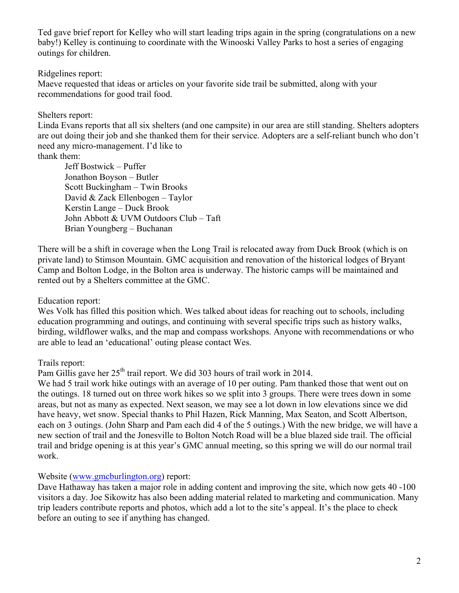Ted gave brief report for Kelley who will start leading trips again in the spring (congratulations on a new baby!) Kelley is continuing to coordinate with the Winooski Valley Parks to host a series of engaging outings for children.

## Ridgelines report:

Maeve requested that ideas or articles on your favorite side trail be submitted, along with your recommendations for good trail food.

# Shelters report:

Linda Evans reports that all six shelters (and one campsite) in our area are still standing. Shelters adopters are out doing their job and she thanked them for their service. Adopters are a self-reliant bunch who don't need any micro-management. I'd like to

thank them:

Jeff Bostwick – Puffer Jonathon Boyson – Butler Scott Buckingham – Twin Brooks David & Zack Ellenbogen – Taylor Kerstin Lange – Duck Brook John Abbott & UVM Outdoors Club – Taft Brian Youngberg – Buchanan

There will be a shift in coverage when the Long Trail is relocated away from Duck Brook (which is on private land) to Stimson Mountain. GMC acquisition and renovation of the historical lodges of Bryant Camp and Bolton Lodge, in the Bolton area is underway. The historic camps will be maintained and rented out by a Shelters committee at the GMC.

# Education report:

Wes Volk has filled this position which. Wes talked about ideas for reaching out to schools, including education programming and outings, and continuing with several specific trips such as history walks, birding, wildflower walks, and the map and compass workshops. Anyone with recommendations or who are able to lead an 'educational' outing please contact Wes.

# Trails report:

Pam Gillis gave her  $25<sup>th</sup>$  trail report. We did 303 hours of trail work in 2014.

We had 5 trail work hike outings with an average of 10 per outing. Pam thanked those that went out on the outings. 18 turned out on three work hikes so we split into 3 groups. There were trees down in some areas, but not as many as expected. Next season, we may see a lot down in low elevations since we did have heavy, wet snow. Special thanks to Phil Hazen, Rick Manning, Max Seaton, and Scott Albertson, each on 3 outings. (John Sharp and Pam each did 4 of the 5 outings.) With the new bridge, we will have a new section of trail and the Jonesville to Bolton Notch Road will be a blue blazed side trail. The official trail and bridge opening is at this year's GMC annual meeting, so this spring we will do our normal trail work.

# Website (www.gmcburlington.org) report:

Dave Hathaway has taken a major role in adding content and improving the site, which now gets 40 -100 visitors a day. Joe Sikowitz has also been adding material related to marketing and communication. Many trip leaders contribute reports and photos, which add a lot to the site's appeal. It's the place to check before an outing to see if anything has changed.